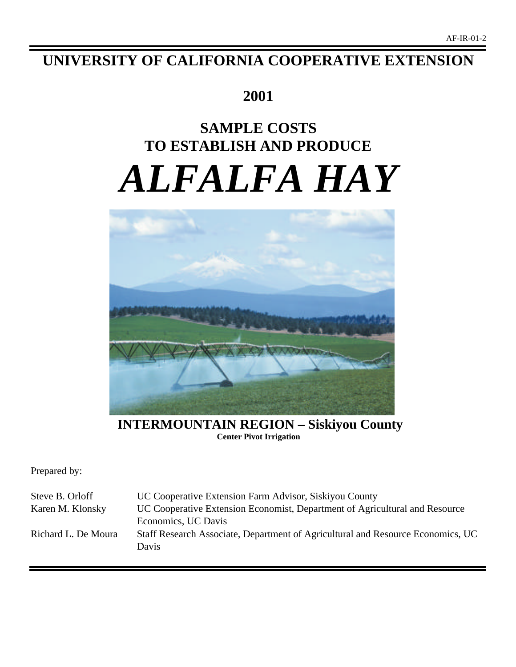# **UNIVERSITY OF CALIFORNIA COOPERATIVE EXTENSION**

# **2001**

# **SAMPLE COSTS TO ESTABLISH AND PRODUCE** *ALFALFA HAY*



**INTERMOUNTAIN REGION – Siskiyou County Center Pivot Irrigation**

Prepared by:

| Steve B. Orloff     | UC Cooperative Extension Farm Advisor, Siskiyou County                                   |
|---------------------|------------------------------------------------------------------------------------------|
| Karen M. Klonsky    | UC Cooperative Extension Economist, Department of Agricultural and Resource              |
|                     | Economics, UC Davis                                                                      |
| Richard L. De Moura | Staff Research Associate, Department of Agricultural and Resource Economics, UC<br>Davis |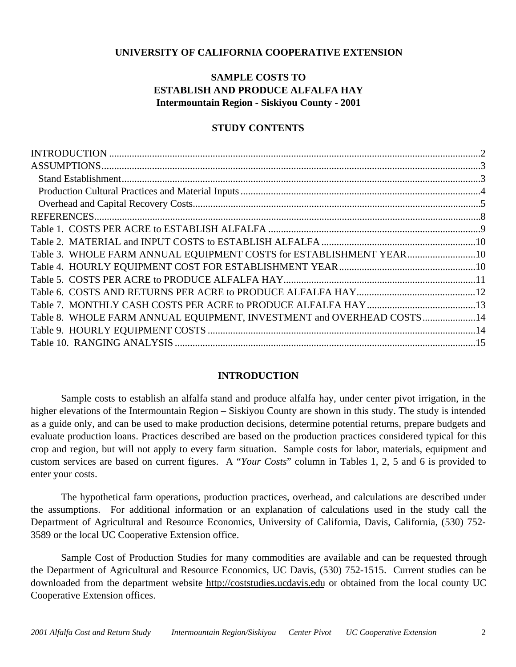# **UNIVERSITY OF CALIFORNIA COOPERATIVE EXTENSION**

# **SAMPLE COSTS TO ESTABLISH AND PRODUCE ALFALFA HAY Intermountain Region - Siskiyou County - 2001**

# **STUDY CONTENTS**

| Table 3. WHOLE FARM ANNUAL EQUIPMENT COSTS for ESTABLISHMENT YEAR10    |
|------------------------------------------------------------------------|
|                                                                        |
|                                                                        |
|                                                                        |
|                                                                        |
| Table 8. WHOLE FARM ANNUAL EQUIPMENT, INVESTMENT and OVERHEAD COSTS 14 |
|                                                                        |
|                                                                        |
|                                                                        |

# **INTRODUCTION**

Sample costs to establish an alfalfa stand and produce alfalfa hay, under center pivot irrigation, in the higher elevations of the Intermountain Region – Siskiyou County are shown in this study. The study is intended as a guide only, and can be used to make production decisions, determine potential returns, prepare budgets and evaluate production loans. Practices described are based on the production practices considered typical for this crop and region, but will not apply to every farm situation. Sample costs for labor, materials, equipment and custom services are based on current figures. A "*Your Costs*" column in Tables 1, 2, 5 and 6 is provided to enter your costs.

The hypothetical farm operations, production practices, overhead, and calculations are described under the assumptions. For additional information or an explanation of calculations used in the study call the Department of Agricultural and Resource Economics, University of California, Davis, California, (530) 752- 3589 or the local UC Cooperative Extension office.

Sample Cost of Production Studies for many commodities are available and can be requested through the Department of Agricultural and Resource Economics, UC Davis, (530) 752-1515. Current studies can be downloaded from the department website http://coststudies.ucdavis.edu or obtained from the local county UC Cooperative Extension offices.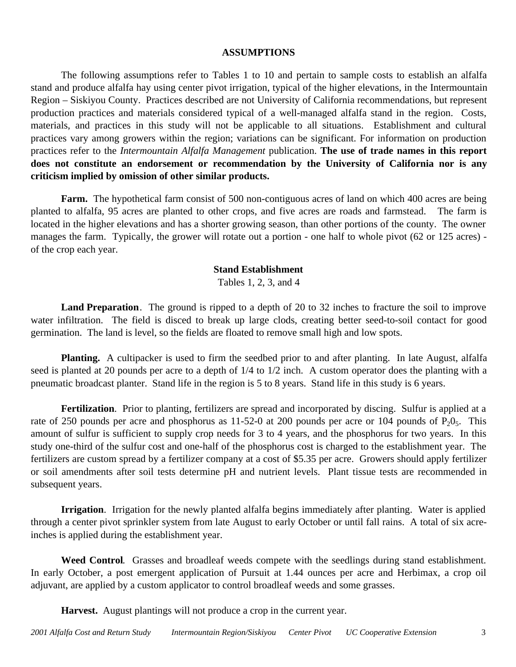### **ASSUMPTIONS**

The following assumptions refer to Tables 1 to 10 and pertain to sample costs to establish an alfalfa stand and produce alfalfa hay using center pivot irrigation, typical of the higher elevations, in the Intermountain Region – Siskiyou County. Practices described are not University of California recommendations, but represent production practices and materials considered typical of a well-managed alfalfa stand in the region. Costs, materials, and practices in this study will not be applicable to all situations.Establishment and cultural practices vary among growers within the region; variations can be significant. For information on production practices refer to the *Intermountain Alfalfa Management* publication. **The use of trade names in this report does not constitute an endorsement or recommendation by the University of California nor is any criticism implied by omission of other similar products.**

**Farm.** The hypothetical farm consist of 500 non-contiguous acres of land on which 400 acres are being planted to alfalfa, 95 acres are planted to other crops, and five acres are roads and farmstead. The farm is located in the higher elevations and has a shorter growing season, than other portions of the county. The owner manages the farm. Typically, the grower will rotate out a portion - one half to whole pivot (62 or 125 acres) of the crop each year.

## **Stand Establishment**

Tables 1, 2, 3, and 4

**Land Preparation**. The ground is ripped to a depth of 20 to 32 inches to fracture the soil to improve water infiltration. The field is disced to break up large clods, creating better seed-to-soil contact for good germination. The land is level, so the fields are floated to remove small high and low spots.

**Planting.** A cultipacker is used to firm the seedbed prior to and after planting. In late August, alfalfa seed is planted at 20 pounds per acre to a depth of  $1/4$  to  $1/2$  inch. A custom operator does the planting with a pneumatic broadcast planter. Stand life in the region is 5 to 8 years. Stand life in this study is 6 years.

**Fertilization**. Prior to planting, fertilizers are spread and incorporated by discing. Sulfur is applied at a rate of 250 pounds per acre and phosphorus as 11-52-0 at 200 pounds per acre or 104 pounds of  $P_2O_5$ . This amount of sulfur is sufficient to supply crop needs for 3 to 4 years, and the phosphorus for two years. In this study one-third of the sulfur cost and one-half of the phosphorus cost is charged to the establishment year. The fertilizers are custom spread by a fertilizer company at a cost of \$5.35 per acre. Growers should apply fertilizer or soil amendments after soil tests determine pH and nutrient levels. Plant tissue tests are recommended in subsequent years.

**Irrigation**. Irrigation for the newly planted alfalfa begins immediately after planting. Water is applied through a center pivot sprinkler system from late August to early October or until fall rains. A total of six acreinches is applied during the establishment year.

**Weed Control**. Grasses and broadleaf weeds compete with the seedlings during stand establishment. In early October, a post emergent application of Pursuit at 1.44 ounces per acre and Herbimax, a crop oil adjuvant, are applied by a custom applicator to control broadleaf weeds and some grasses.

**Harvest.** August plantings will not produce a crop in the current year.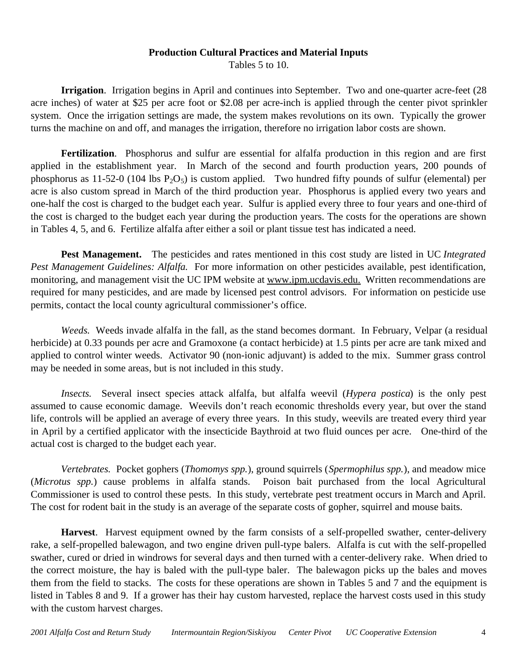# **Production Cultural Practices and Material Inputs**

Tables 5 to 10.

**Irrigation**. Irrigation begins in April and continues into September. Two and one-quarter acre-feet (28 acre inches) of water at \$25 per acre foot or \$2.08 per acre-inch is applied through the center pivot sprinkler system. Once the irrigation settings are made, the system makes revolutions on its own. Typically the grower turns the machine on and off, and manages the irrigation, therefore no irrigation labor costs are shown.

**Fertilization**. Phosphorus and sulfur are essential for alfalfa production in this region and are first applied in the establishment year. In March of the second and fourth production years, 200 pounds of phosphorus as 11-52-0 (104 lbs  $P_2O_5$ ) is custom applied. Two hundred fifty pounds of sulfur (elemental) per acre is also custom spread in March of the third production year. Phosphorus is applied every two years and one-half the cost is charged to the budget each year. Sulfur is applied every three to four years and one-third of the cost is charged to the budget each year during the production years. The costs for the operations are shown in Tables 4, 5, and 6. Fertilize alfalfa after either a soil or plant tissue test has indicated a need.

**Pest Management.** The pesticides and rates mentioned in this cost study are listed in UC *Integrated Pest Management Guidelines: Alfalfa.* For more information on other pesticides available, pest identification, monitoring, and management visit the UC IPM website at www.ipm.ucdavis.edu. Written recommendations are required for many pesticides, and are made by licensed pest control advisors. For information on pesticide use permits, contact the local county agricultural commissioner's office.

*Weeds.* Weeds invade alfalfa in the fall, as the stand becomes dormant. In February, Velpar (a residual herbicide) at 0.33 pounds per acre and Gramoxone (a contact herbicide) at 1.5 pints per acre are tank mixed and applied to control winter weeds. Activator 90 (non-ionic adjuvant) is added to the mix. Summer grass control may be needed in some areas, but is not included in this study.

*Insects.* Several insect species attack alfalfa, but alfalfa weevil (*Hypera postica*) is the only pest assumed to cause economic damage. Weevils don't reach economic thresholds every year, but over the stand life, controls will be applied an average of every three years. In this study, weevils are treated every third year in April by a certified applicator with the insecticide Baythroid at two fluid ounces per acre. One-third of the actual cost is charged to the budget each year.

*Vertebrates.* Pocket gophers (*Thomomys spp.*), ground squirrels (*Spermophilus spp.*), and meadow mice (*Microtus spp.*) cause problems in alfalfa stands. Poison bait purchased from the local Agricultural Commissioner is used to control these pests. In this study, vertebrate pest treatment occurs in March and April. The cost for rodent bait in the study is an average of the separate costs of gopher, squirrel and mouse baits.

**Harvest**. Harvest equipment owned by the farm consists of a self-propelled swather, center-delivery rake, a self-propelled balewagon, and two engine driven pull-type balers. Alfalfa is cut with the self-propelled swather, cured or dried in windrows for several days and then turned with a center-delivery rake. When dried to the correct moisture, the hay is baled with the pull-type baler. The balewagon picks up the bales and moves them from the field to stacks. The costs for these operations are shown in Tables 5 and 7 and the equipment is listed in Tables 8 and 9. If a grower has their hay custom harvested, replace the harvest costs used in this study with the custom harvest charges.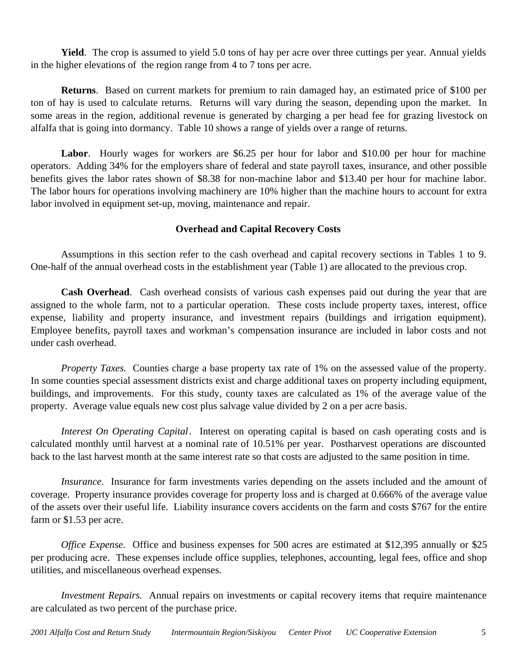**Yield**. The crop is assumed to yield 5.0 tons of hay per acre over three cuttings per year. Annual yields in the higher elevations of the region range from 4 to 7 tons per acre.

**Returns**. Based on current markets for premium to rain damaged hay, an estimated price of \$100 per ton of hay is used to calculate returns. Returns will vary during the season, depending upon the market. In some areas in the region, additional revenue is generated by charging a per head fee for grazing livestock on alfalfa that is going into dormancy. Table 10 shows a range of yields over a range of returns.

Labor. Hourly wages for workers are \$6.25 per hour for labor and \$10.00 per hour for machine operators. Adding 34% for the employers share of federal and state payroll taxes, insurance, and other possible benefits gives the labor rates shown of \$8.38 for non-machine labor and \$13.40 per hour for machine labor. The labor hours for operations involving machinery are 10% higher than the machine hours to account for extra labor involved in equipment set-up, moving, maintenance and repair.

# **Overhead and Capital Recovery Costs**

Assumptions in this section refer to the cash overhead and capital recovery sections in Tables 1 to 9. One-half of the annual overhead costs in the establishment year (Table 1) are allocated to the previous crop.

**Cash Overhead**. Cash overhead consists of various cash expenses paid out during the year that are assigned to the whole farm, not to a particular operation. These costs include property taxes, interest, office expense, liability and property insurance, and investment repairs (buildings and irrigation equipment). Employee benefits, payroll taxes and workman's compensation insurance are included in labor costs and not under cash overhead.

*Property Taxes.* Counties charge a base property tax rate of 1% on the assessed value of the property. In some counties special assessment districts exist and charge additional taxes on property including equipment, buildings, and improvements. For this study, county taxes are calculated as 1% of the average value of the property. Average value equals new cost plus salvage value divided by 2 on a per acre basis.

*Interest On Operating Capital*. Interest on operating capital is based on cash operating costs and is calculated monthly until harvest at a nominal rate of 10.51% per year. Postharvest operations are discounted back to the last harvest month at the same interest rate so that costs are adjusted to the same position in time.

*Insurance*. Insurance for farm investments varies depending on the assets included and the amount of coverage. Property insurance provides coverage for property loss and is charged at 0.666% of the average value of the assets over their useful life. Liability insurance covers accidents on the farm and costs \$767 for the entire farm or \$1.53 per acre.

*Office Expense*. Office and business expenses for 500 acres are estimated at \$12,395 annually or \$25 per producing acre. These expenses include office supplies, telephones, accounting, legal fees, office and shop utilities, and miscellaneous overhead expenses.

*Investment Repairs.* Annual repairs on investments or capital recovery items that require maintenance are calculated as two percent of the purchase price.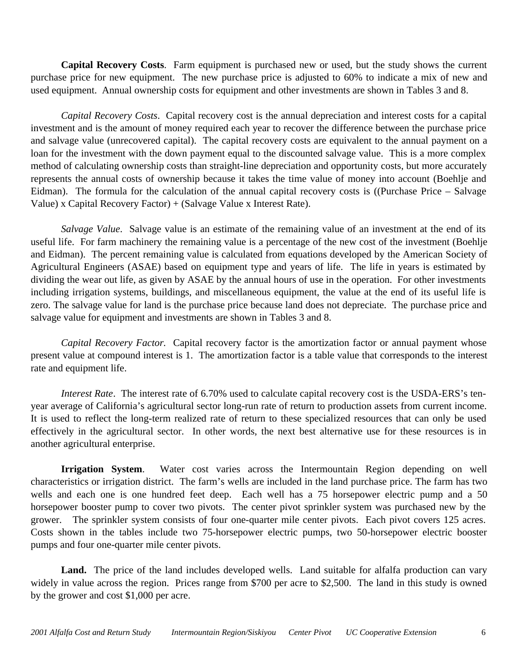**Capital Recovery Costs**. Farm equipment is purchased new or used, but the study shows the current purchase price for new equipment. The new purchase price is adjusted to 60% to indicate a mix of new and used equipment. Annual ownership costs for equipment and other investments are shown in Tables 3 and 8.

*Capital Recovery Costs*. Capital recovery cost is the annual depreciation and interest costs for a capital investment and is the amount of money required each year to recover the difference between the purchase price and salvage value (unrecovered capital). The capital recovery costs are equivalent to the annual payment on a loan for the investment with the down payment equal to the discounted salvage value. This is a more complex method of calculating ownership costs than straight-line depreciation and opportunity costs, but more accurately represents the annual costs of ownership because it takes the time value of money into account (Boehlje and Eidman). The formula for the calculation of the annual capital recovery costs is ((Purchase Price – Salvage Value) x Capital Recovery Factor) + (Salvage Value x Interest Rate).

*Salvage Value*. Salvage value is an estimate of the remaining value of an investment at the end of its useful life. For farm machinery the remaining value is a percentage of the new cost of the investment (Boehlje and Eidman). The percent remaining value is calculated from equations developed by the American Society of Agricultural Engineers (ASAE) based on equipment type and years of life. The life in years is estimated by dividing the wear out life, as given by ASAE by the annual hours of use in the operation. For other investments including irrigation systems, buildings, and miscellaneous equipment, the value at the end of its useful life is zero. The salvage value for land is the purchase price because land does not depreciate. The purchase price and salvage value for equipment and investments are shown in Tables 3 and 8.

*Capital Recovery Factor.* Capital recovery factor is the amortization factor or annual payment whose present value at compound interest is 1. The amortization factor is a table value that corresponds to the interest rate and equipment life.

*Interest Rate*. The interest rate of 6.70% used to calculate capital recovery cost is the USDA-ERS's tenyear average of California's agricultural sector long-run rate of return to production assets from current income. It is used to reflect the long-term realized rate of return to these specialized resources that can only be used effectively in the agricultural sector. In other words, the next best alternative use for these resources is in another agricultural enterprise.

**Irrigation System**. Water cost varies across the Intermountain Region depending on well characteristics or irrigation district. The farm's wells are included in the land purchase price. The farm has two wells and each one is one hundred feet deep. Each well has a 75 horsepower electric pump and a 50 horsepower booster pump to cover two pivots. The center pivot sprinkler system was purchased new by the grower. The sprinkler system consists of four one-quarter mile center pivots. Each pivot covers 125 acres. Costs shown in the tables include two 75-horsepower electric pumps, two 50-horsepower electric booster pumps and four one-quarter mile center pivots.

Land. The price of the land includes developed wells. Land suitable for alfalfa production can vary widely in value across the region. Prices range from \$700 per acre to \$2,500. The land in this study is owned by the grower and cost \$1,000 per acre.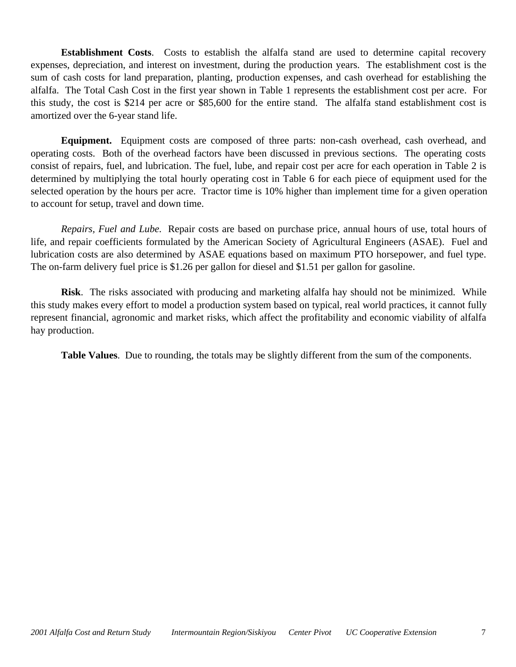**Establishment Costs**. Costs to establish the alfalfa stand are used to determine capital recovery expenses, depreciation, and interest on investment, during the production years. The establishment cost is the sum of cash costs for land preparation, planting, production expenses, and cash overhead for establishing the alfalfa. The Total Cash Cost in the first year shown in Table 1 represents the establishment cost per acre. For this study, the cost is \$214 per acre or \$85,600 for the entire stand. The alfalfa stand establishment cost is amortized over the 6-year stand life.

**Equipment.** Equipment costs are composed of three parts: non-cash overhead, cash overhead, and operating costs. Both of the overhead factors have been discussed in previous sections. The operating costs consist of repairs, fuel, and lubrication. The fuel, lube, and repair cost per acre for each operation in Table 2 is determined by multiplying the total hourly operating cost in Table 6 for each piece of equipment used for the selected operation by the hours per acre. Tractor time is 10% higher than implement time for a given operation to account for setup, travel and down time.

*Repairs, Fuel and Lube.* Repair costs are based on purchase price, annual hours of use, total hours of life, and repair coefficients formulated by the American Society of Agricultural Engineers (ASAE). Fuel and lubrication costs are also determined by ASAE equations based on maximum PTO horsepower, and fuel type. The on-farm delivery fuel price is \$1.26 per gallon for diesel and \$1.51 per gallon for gasoline.

**Risk**. The risks associated with producing and marketing alfalfa hay should not be minimized. While this study makes every effort to model a production system based on typical, real world practices, it cannot fully represent financial, agronomic and market risks, which affect the profitability and economic viability of alfalfa hay production.

**Table Values**. Due to rounding, the totals may be slightly different from the sum of the components.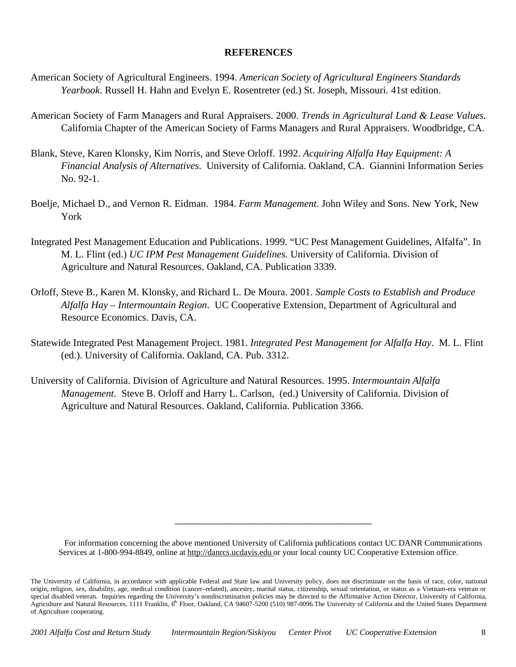## **REFERENCES**

- American Society of Agricultural Engineers. 1994. *American Society of Agricultural Engineers Standards Yearbook*. Russell H. Hahn and Evelyn E. Rosentreter (ed.) St. Joseph, Missouri. 41st edition.
- American Society of Farm Managers and Rural Appraisers. 2000. *Trends in Agricultural Land & Lease Values.* California Chapter of the American Society of Farms Managers and Rural Appraisers. Woodbridge, CA.
- Blank, Steve, Karen Klonsky, Kim Norris, and Steve Orloff. 1992. *Acquiring Alfalfa Hay Equipment: A Financial Analysis of Alternatives*. University of California. Oakland, CA. Giannini Information Series No. 92-1.
- Boelje, Michael D., and Vernon R. Eidman. 1984. *Farm Management*. John Wiley and Sons. New York, New York
- Integrated Pest Management Education and Publications. 1999. "UC Pest Management Guidelines, Alfalfa". In M. L. Flint (ed.) *UC IPM Pest Management Guidelines.* University of California. Division of Agriculture and Natural Resources. Oakland, CA. Publication 3339.
- Orloff, Steve B., Karen M. Klonsky, and Richard L. De Moura. 2001. *Sample Costs to Establish and Produce Alfalfa Hay – Intermountain Region*. UC Cooperative Extension, Department of Agricultural and Resource Economics. Davis, CA.
- Statewide Integrated Pest Management Project. 1981. *Integrated Pest Management for Alfalfa Hay*. M. L. Flint (ed.). University of California. Oakland, CA. Pub. 3312.
- University of California. Division of Agriculture and Natural Resources. 1995. *Intermountain Alfalfa Management*. Steve B. Orloff and Harry L. Carlson, (ed.) University of California. Division of Agriculture and Natural Resources. Oakland, California. Publication 3366.

For information concerning the above mentioned University of California publications contact UC DANR Communications Services at 1-800-994-8849, online at http://danrcs.ucdavis.edu or your local county UC Cooperative Extension office.

\_\_\_\_\_\_\_\_\_\_\_\_\_\_\_\_\_\_\_\_\_\_\_\_\_\_\_\_\_\_\_\_\_\_\_\_\_\_\_

The University of California, in accordance with applicable Federal and State law and University policy, does not discriminate on the basis of race, color, national origin, religion, sex, disability, age, medical condition (cancer–related), ancestry, marital status, citizenship, sexual orientation, or status as a Vietnam-era veteran or special disabled veteran. Inquiries regarding the University's nondiscrimination policies may be directed to the Affirmative Action Director, University of California, Agriculture and Natural Resources, 1111 Franklin, 6<sup>th</sup> Floor, Oakland, CA 94607-5200 (510) 987-0096. The University of California and the United States Department of Agriculture cooperating.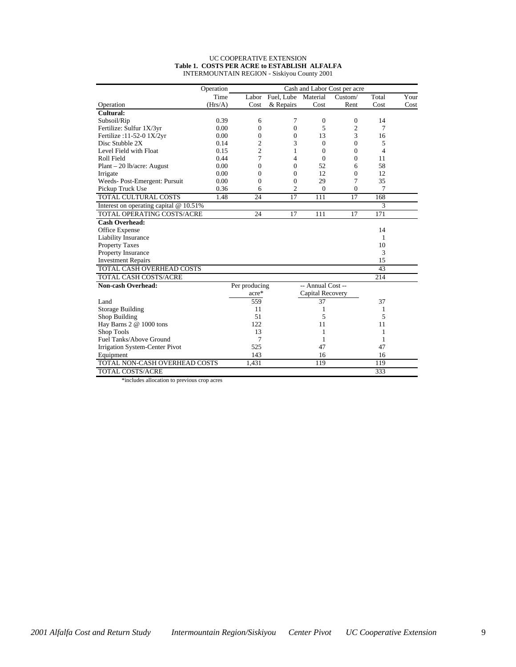#### UC COOPERATIVE EXTENSION **Table 1. COSTS PER ACRE to ESTABLISH ALFALFA** INTERMOUNTAIN REGION - Siskiyou County 2001

|                                        | Operation |                |                  |                   | Cash and Labor Cost per acre |                |      |
|----------------------------------------|-----------|----------------|------------------|-------------------|------------------------------|----------------|------|
|                                        | Time      |                | Labor Fuel, Lube | Material          | Custom/                      | Total          | Your |
| Operation                              | (Hrs/A)   | Cost           | & Repairs        | Cost              | Rent                         | Cost           | Cost |
| Cultural:                              |           |                |                  |                   |                              |                |      |
| Subsoil/Rip                            | 0.39      | 6              | 7                | $\mathbf{0}$      | $\theta$                     | 14             |      |
| Fertilize: Sulfur 1X/3yr               | 0.00      | $\overline{0}$ | $\overline{0}$   | 5                 | $\overline{2}$               | 7              |      |
| Fertilize: 11-52-0 1X/2yr              | 0.00      | $\overline{0}$ | 0                | 13                | 3                            | 16             |      |
| Disc Stubble 2X                        | 0.14      | $\overline{2}$ | 3                | $\Omega$          | $\theta$                     | 5              |      |
| Level Field with Float                 | 0.15      | $\overline{c}$ | 1                | $\theta$          | $\theta$                     | $\overline{4}$ |      |
| Roll Field                             | 0.44      | 7              | 4                | $\Omega$          | $\Omega$                     | 11             |      |
| $Plant - 20 lb/acre: August$           | 0.00      | $\theta$       | $\theta$         | 52                | 6                            | 58             |      |
| Irrigate                               | 0.00      | $\Omega$       | $\overline{0}$   | 12                | $\overline{0}$               | 12             |      |
| Weeds-Post-Emergent: Pursuit           | 0.00      | $\overline{0}$ | $\overline{0}$   | 29                | 7                            | 35             |      |
| Pickup Truck Use                       | 0.36      | 6              | $\overline{2}$   | $\mathbf{0}$      | $\overline{0}$               | 7              |      |
| <b>TOTAL CULTURAL COSTS</b>            | 1.48      | 24             | 17               | 111               | 17                           | 168            |      |
| Interest on operating capital @ 10.51% |           |                |                  |                   |                              | 3              |      |
| TOTAL OPERATING COSTS/ACRE             |           | 24             | 17               | 111               | 17                           | 171            |      |
| <b>Cash Overhead:</b>                  |           |                |                  |                   |                              |                |      |
| Office Expense                         |           |                |                  |                   |                              | 14             |      |
| Liability Insurance                    |           |                |                  |                   |                              | 1              |      |
| <b>Property Taxes</b>                  |           |                |                  |                   |                              | 10             |      |
| Property Insurance                     |           |                |                  |                   |                              | 3              |      |
| <b>Investment Repairs</b>              |           |                |                  |                   |                              | 15             |      |
| TOTAL CASH OVERHEAD COSTS              |           |                |                  |                   |                              | 43             |      |
| TOTAL CASH COSTS/ACRE                  |           |                |                  |                   |                              | 214            |      |
| <b>Non-cash Overhead:</b>              |           | Per producing  |                  | -- Annual Cost -- |                              |                |      |
|                                        |           | acre*          |                  | Capital Recovery  |                              |                |      |
| Land                                   |           | 559            |                  | 37                |                              | 37             |      |
| <b>Storage Building</b>                |           | 11             |                  | 1                 |                              | 1              |      |
| Shop Building                          |           | 51             |                  | 5                 |                              | 5              |      |
| Hay Barns 2 @ 1000 tons                |           | 122            |                  | 11                |                              | 11             |      |
| Shop Tools                             |           | 13             |                  | 1                 |                              | 1              |      |
| Fuel Tanks/Above Ground                |           | 7              |                  | 1                 |                              | 1              |      |
| Irrigation System-Center Pivot         |           | 525            |                  | 47                |                              | 47             |      |
| Equipment                              |           | 143            |                  | 16                |                              | 16             |      |
| TOTAL NON-CASH OVERHEAD COSTS          |           | 1,431          |                  | 119               |                              | 119            |      |
| <b>TOTAL COSTS/ACRE</b>                |           |                |                  |                   |                              | 333            |      |

\*includes allocation to previous crop acres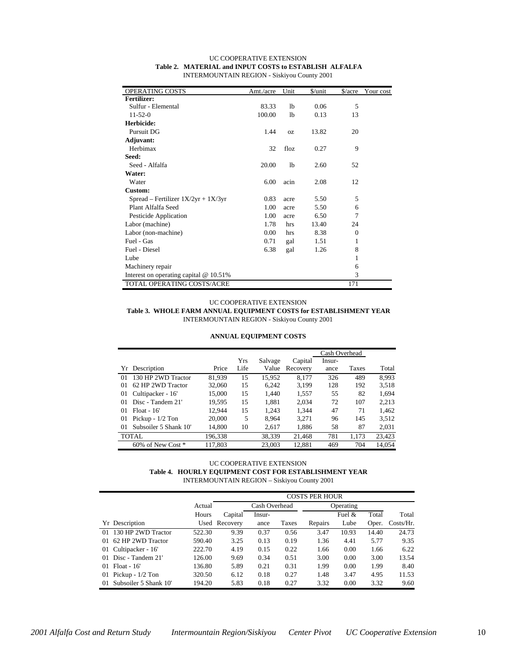| OPERATING COSTS                          | Amt./acre | Unit           | \$/unit | $\frac{\sqrt{2}}{2}$ | Your cost |
|------------------------------------------|-----------|----------------|---------|----------------------|-----------|
| <b>Fertilizer:</b>                       |           |                |         |                      |           |
| Sulfur - Elemental                       | 83.33     | 1 <sub>b</sub> | 0.06    | 5                    |           |
| $11-52-0$                                | 100.00    | lb             | 0.13    | 13                   |           |
| Herbicide:                               |           |                |         |                      |           |
| Pursuit DG                               | 1.44      | <b>OZ</b>      | 13.82   | 20                   |           |
| Adjuvant:                                |           |                |         |                      |           |
| Herbimax                                 | 32        | floz           | 0.27    | 9                    |           |
| Seed:                                    |           |                |         |                      |           |
| Seed - Alfalfa                           | 20.00     | lb             | 2.60    | 52                   |           |
| Water:                                   |           |                |         |                      |           |
| Water                                    | 6.00      | acin           | 2.08    | 12                   |           |
| Custom:                                  |           |                |         |                      |           |
| Spread – Fertilizer $1X/2yr + 1X/3yr$    | 0.83      | acre           | 5.50    | 5                    |           |
| Plant Alfalfa Seed                       | 1.00      | acre           | 5.50    | 6                    |           |
| Pesticide Application                    | 1.00      | acre           | 6.50    | 7                    |           |
| Labor (machine)                          | 1.78      | hrs            | 13.40   | 24                   |           |
| Labor (non-machine)                      | 0.00      | hrs            | 8.38    | $\Omega$             |           |
| Fuel - Gas                               | 0.71      | gal            | 1.51    | 1                    |           |
| Fuel - Diesel                            | 6.38      | gal            | 1.26    | 8                    |           |
| Lube                                     |           |                |         | 1                    |           |
| Machinery repair                         |           |                |         | 6                    |           |
| Interest on operating capital $@10.51\%$ |           |                |         | 3                    |           |
| TOTAL OPERATING COSTS/ACRE               |           |                |         | 171                  |           |

#### UC COOPERATIVE EXTENSION **Table 2. MATERIAL and INPUT COSTS to ESTABLISH ALFALFA** INTERMOUNTAIN REGION - Siskiyou County 2001

#### UC COOPERATIVE EXTENSION

**Table 3. WHOLE FARM ANNUAL EQUIPMENT COSTS for ESTABLISHMENT YEAR** INTERMOUNTAIN REGION - Siskiyou County 2001

#### **ANNUAL EQUIPMENT COSTS**

|    |                       |         |            |         |          | Cash Overhead |       |        |
|----|-----------------------|---------|------------|---------|----------|---------------|-------|--------|
|    |                       |         | <b>Yrs</b> | Salvage | Capital  | Insur-        |       |        |
|    | Yr Description        | Price   | Life       | Value   | Recovery | ance          | Taxes | Total  |
| 01 | 130 HP 2WD Tractor    | 81.939  | 15         | 15.952  | 8.177    | 326           | 489   | 8.993  |
| 01 | 62 HP 2WD Tractor     | 32,060  | 15         | 6,242   | 3,199    | 128           | 192   | 3,518  |
| 01 | Cultipacker - 16'     | 15,000  | 15         | 1.440   | 1,557    | 55            | 82    | 1,694  |
| 01 | Disc - Tandem 21'     | 19,595  | 15         | 1,881   | 2,034    | 72            | 107   | 2,213  |
| 01 | $Float - 16'$         | 12.944  | 15         | 1.243   | 1.344    | 47            | 71    | 1.462  |
| 01 | Pickup - $1/2$ Ton    | 20,000  | 5          | 8.964   | 3,271    | 96            | 145   | 3,512  |
| 01 | Subsoiler 5 Shank 10' | 14.800  | 10         | 2.617   | 1.886    | 58            | 87    | 2,031  |
|    | TOTAL                 | 196,338 |            | 38,339  | 21.468   | 781           | 1.173 | 23,423 |
|    | 60% of New Cost *     | 117.803 |            | 23,003  | 12.881   | 469           | 704   | 14.054 |

#### UC COOPERATIVE EXTENSION **Table 4. HOURLY EQUIPMENT COST FOR ESTABLISHMENT YEAR** INTERMOUNTAIN REGION – Siskiyou County 2001

|                                  |        |               |               |       | <b>COSTS PER HOUR</b> |           |       |              |
|----------------------------------|--------|---------------|---------------|-------|-----------------------|-----------|-------|--------------|
|                                  | Actual |               | Cash Overhead |       |                       | Operating |       |              |
|                                  | Hours  | Capital       | Insur-        |       |                       | Fuel &    | Total | Total        |
| Yr Description                   |        | Used Recovery | ance          | Taxes | Repairs               | Lube      | Oper. | $Costs/Hr$ . |
| 130 HP 2WD Tractor<br>$_{01}$    | 522.30 | 9.39          | 0.37          | 0.56  | 3.47                  | 10.93     | 14.40 | 24.73        |
| 62 HP 2WD Tractor<br>01          | 590.40 | 3.25          | 0.13          | 0.19  | 1.36                  | 4.41      | 5.77  | 9.35         |
| Cultipacker - 16'<br>01          | 222.70 | 4.19          | 0.15          | 0.22  | 1.66                  | 0.00      | 1.66  | 6.22         |
| Disc - Tandem 21'<br>01          | 126.00 | 9.69          | 0.34          | 0.51  | 3.00                  | 0.00      | 3.00  | 13.54        |
| $Float - 16'$<br>$_{01}$         | 136.80 | 5.89          | 0.21          | 0.31  | 1.99                  | 0.00      | 1.99  | 8.40         |
| Pickup - $1/2$ Ton<br>01         | 320.50 | 6.12          | 0.18          | 0.27  | 1.48                  | 3.47      | 4.95  | 11.53        |
| Subsoiler 5 Shank 10'<br>$_{01}$ | 194.20 | 5.83          | 0.18          | 0.27  | 3.32                  | 0.00      | 3.32  | 9.60         |

*2001 Alfalfa Cost and Return Study Intermountain Region/Siskiyou Center Pivot UC Cooperative Extension* 10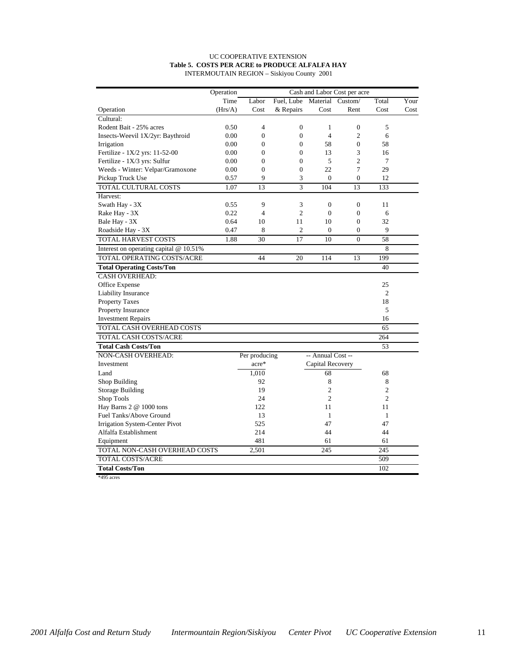#### UC COOPERATIVE EXTENSION **Table 5. COSTS PER ACRE to PRODUCE ALFALFA HAY** INTERMOUTAIN REGION – Siskiyou County 2001

|                                        | Operation |                |                             | Cash and Labor Cost per acre |                  |                |      |
|----------------------------------------|-----------|----------------|-----------------------------|------------------------------|------------------|----------------|------|
|                                        | Time      | Labor          | Fuel, Lube Material Custom/ |                              |                  | Total          | Your |
| Operation                              | (Hrs/A)   | Cost           | & Repairs                   | Cost                         | Rent             | Cost           | Cost |
| Cultural:                              |           |                |                             |                              |                  |                |      |
| Rodent Bait - 25% acres                | 0.50      | 4              | $\boldsymbol{0}$            | 1                            | $\overline{0}$   | 5              |      |
| Insects-Weevil 1X/2yr: Baythroid       | 0.00      | $\overline{0}$ | $\overline{0}$              | $\overline{4}$               | $\overline{2}$   | 6              |      |
| Irrigation                             | 0.00      | 0              | $\boldsymbol{0}$            | 58                           | $\boldsymbol{0}$ | 58             |      |
| Fertilize - 1X/2 yrs: 11-52-00         | 0.00      | $\overline{0}$ | $\overline{0}$              | 13                           | 3                | 16             |      |
| Fertilize - 1X/3 yrs: Sulfur           | 0.00      | $\overline{0}$ | $\boldsymbol{0}$            | 5                            | $\overline{c}$   | $\overline{7}$ |      |
| Weeds - Winter: Velpar/Gramoxone       | 0.00      | $\overline{0}$ | $\overline{0}$              | 22                           | 7                | 29             |      |
| Pickup Truck Use                       | 0.57      | 9              | 3                           | $\mathbf{0}$                 | $\overline{0}$   | 12             |      |
| <b>TOTAL CULTURAL COSTS</b>            | 1.07      | 13             | 3                           | 104                          | 13               | 133            |      |
| Harvest:                               |           |                |                             |                              |                  |                |      |
| Swath Hay - 3X                         | 0.55      | 9              | 3                           | $\boldsymbol{0}$             | $\boldsymbol{0}$ | 11             |      |
| Rake Hay - 3X                          | 0.22      | $\overline{4}$ | $\overline{c}$              | $\mathbf{0}$                 | $\overline{0}$   | 6              |      |
| Bale Hay - 3X                          | 0.64      | 10             | 11                          | 10                           | $\overline{0}$   | 32             |      |
| Roadside Hay - 3X                      | 0.47      | 8              | $\overline{c}$              | $\mathbf{0}$                 | $\mathbf{0}$     | 9              |      |
| <b>TOTAL HARVEST COSTS</b>             | 1.88      | 30             | 17                          | 10                           | $\Omega$         | 58             |      |
| Interest on operating capital @ 10.51% |           |                |                             |                              |                  | 8              |      |
| TOTAL OPERATING COSTS/ACRE             |           | 44             | 20                          | 114                          | 13               | 199            |      |
| <b>Total Operating Costs/Ton</b>       |           |                |                             |                              |                  | 40             |      |
| <b>CASH OVERHEAD:</b>                  |           |                |                             |                              |                  |                |      |
| Office Expense                         |           |                |                             |                              |                  | 25             |      |
| Liability Insurance                    |           |                |                             |                              |                  | $\mathfrak{2}$ |      |
| <b>Property Taxes</b>                  |           |                |                             |                              |                  | 18             |      |
| Property Insurance                     |           |                |                             |                              |                  | 5              |      |
| <b>Investment Repairs</b>              |           |                |                             |                              |                  | 16             |      |
| TOTAL CASH OVERHEAD COSTS              |           |                |                             |                              |                  | 65             |      |
| TOTAL CASH COSTS/ACRE                  |           |                |                             |                              |                  | 264            |      |
| <b>Total Cash Costs/Ton</b>            |           |                |                             |                              |                  | 53             |      |
| NON-CASH OVERHEAD:                     |           | Per producing  |                             | -- Annual Cost --            |                  |                |      |
| Investment                             |           | acre*          |                             | Capital Recovery             |                  |                |      |
| Land                                   |           | 1,010          |                             | 68                           |                  | 68             |      |
| Shop Building                          |           | 92             |                             | 8                            |                  | 8              |      |
| <b>Storage Building</b>                |           | 19             |                             | $\overline{c}$               |                  | $\overline{2}$ |      |
| Shop Tools                             |           | 24             |                             | $\overline{c}$               |                  | $\overline{2}$ |      |
| Hay Barns 2 @ 1000 tons                |           | 122            |                             | 11                           |                  | 11             |      |
| Fuel Tanks/Above Ground                |           | 13             |                             | $\mathbf{1}$                 |                  | $\mathbf{1}$   |      |
| Irrigation System-Center Pivot         |           | 525            |                             | 47                           |                  | 47             |      |
| Alfalfa Establishment                  |           | 214            |                             | 44                           |                  | 44             |      |
| Equipment                              |           | 481            |                             | 61                           |                  | 61             |      |
| TOTAL NON-CASH OVERHEAD COSTS          |           | 2,501          |                             | 245                          |                  | 245            |      |
| TOTAL COSTS/ACRE                       |           |                |                             |                              |                  | 509            |      |
| <b>Total Costs/Ton</b>                 |           |                |                             |                              |                  | 102            |      |
| *495 acres                             |           |                |                             |                              |                  |                |      |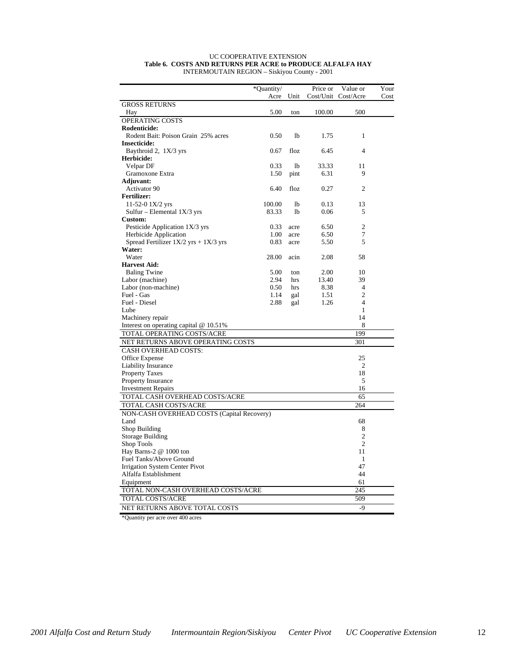#### UC COOPERATIVE EXTENSION **Table 6. COSTS AND RETURNS PER ACRE to PRODUCE ALFALFA HAY** INTERMOUTAIN REGION – Siskiyou County - 2001

| *Quantity/<br>Price or<br>Value or<br>Your<br>Unit<br>Cost/Unit<br>Cost/Acre<br>Acre<br>Cost<br><b>GROSS RETURNS</b><br>5.00<br>100.00<br>500<br>Hay<br>ton<br>OPERATING COSTS<br>Rodenticide:<br>Rodent Bait: Poison Grain 25% acres<br>0.50<br>1 <sub>b</sub><br>$\mathbf{1}$<br>1.75<br><b>Insecticide:</b><br>Baythroid 2, 1X/3 yrs<br>4<br>0.67<br>floz<br>6.45<br>Herbicide:<br>0.33<br>Velpar DF<br><sup>1</sup><br>33.33<br>11<br>Gramoxone Extra<br>1.50<br>6.31<br>9<br>pint<br><b>Adjuvant:</b><br>6.40<br>Activator 90<br>floz<br>0.27<br>2<br><b>Fertilizer:</b><br>11-52-0 $1X/2$ yrs<br>100.00<br><sup>1</sup><br>0.13<br>13<br>Sulfur – Elemental $1X/3$ yrs<br>83.33<br>lb<br>0.06<br>5<br><b>Custom:</b><br>$\overline{2}$<br>Pesticide Application 1X/3 yrs<br>0.33<br>6.50<br>acre<br>7<br>Herbicide Application<br>1.00<br>6.50<br>acre<br>Spread Fertilizer $1X/2$ yrs + $1X/3$ yrs<br>0.83<br>5<br>5.50<br>acre<br>Water:<br>Water<br>28.00<br>acin<br>2.08<br>58 |
|------------------------------------------------------------------------------------------------------------------------------------------------------------------------------------------------------------------------------------------------------------------------------------------------------------------------------------------------------------------------------------------------------------------------------------------------------------------------------------------------------------------------------------------------------------------------------------------------------------------------------------------------------------------------------------------------------------------------------------------------------------------------------------------------------------------------------------------------------------------------------------------------------------------------------------------------------------------------------------------|
|                                                                                                                                                                                                                                                                                                                                                                                                                                                                                                                                                                                                                                                                                                                                                                                                                                                                                                                                                                                          |
|                                                                                                                                                                                                                                                                                                                                                                                                                                                                                                                                                                                                                                                                                                                                                                                                                                                                                                                                                                                          |
|                                                                                                                                                                                                                                                                                                                                                                                                                                                                                                                                                                                                                                                                                                                                                                                                                                                                                                                                                                                          |
|                                                                                                                                                                                                                                                                                                                                                                                                                                                                                                                                                                                                                                                                                                                                                                                                                                                                                                                                                                                          |
|                                                                                                                                                                                                                                                                                                                                                                                                                                                                                                                                                                                                                                                                                                                                                                                                                                                                                                                                                                                          |
|                                                                                                                                                                                                                                                                                                                                                                                                                                                                                                                                                                                                                                                                                                                                                                                                                                                                                                                                                                                          |
|                                                                                                                                                                                                                                                                                                                                                                                                                                                                                                                                                                                                                                                                                                                                                                                                                                                                                                                                                                                          |
|                                                                                                                                                                                                                                                                                                                                                                                                                                                                                                                                                                                                                                                                                                                                                                                                                                                                                                                                                                                          |
|                                                                                                                                                                                                                                                                                                                                                                                                                                                                                                                                                                                                                                                                                                                                                                                                                                                                                                                                                                                          |
|                                                                                                                                                                                                                                                                                                                                                                                                                                                                                                                                                                                                                                                                                                                                                                                                                                                                                                                                                                                          |
|                                                                                                                                                                                                                                                                                                                                                                                                                                                                                                                                                                                                                                                                                                                                                                                                                                                                                                                                                                                          |
|                                                                                                                                                                                                                                                                                                                                                                                                                                                                                                                                                                                                                                                                                                                                                                                                                                                                                                                                                                                          |
|                                                                                                                                                                                                                                                                                                                                                                                                                                                                                                                                                                                                                                                                                                                                                                                                                                                                                                                                                                                          |
|                                                                                                                                                                                                                                                                                                                                                                                                                                                                                                                                                                                                                                                                                                                                                                                                                                                                                                                                                                                          |
|                                                                                                                                                                                                                                                                                                                                                                                                                                                                                                                                                                                                                                                                                                                                                                                                                                                                                                                                                                                          |
|                                                                                                                                                                                                                                                                                                                                                                                                                                                                                                                                                                                                                                                                                                                                                                                                                                                                                                                                                                                          |
|                                                                                                                                                                                                                                                                                                                                                                                                                                                                                                                                                                                                                                                                                                                                                                                                                                                                                                                                                                                          |
|                                                                                                                                                                                                                                                                                                                                                                                                                                                                                                                                                                                                                                                                                                                                                                                                                                                                                                                                                                                          |
|                                                                                                                                                                                                                                                                                                                                                                                                                                                                                                                                                                                                                                                                                                                                                                                                                                                                                                                                                                                          |
|                                                                                                                                                                                                                                                                                                                                                                                                                                                                                                                                                                                                                                                                                                                                                                                                                                                                                                                                                                                          |
|                                                                                                                                                                                                                                                                                                                                                                                                                                                                                                                                                                                                                                                                                                                                                                                                                                                                                                                                                                                          |
|                                                                                                                                                                                                                                                                                                                                                                                                                                                                                                                                                                                                                                                                                                                                                                                                                                                                                                                                                                                          |
| <b>Harvest Aid:</b>                                                                                                                                                                                                                                                                                                                                                                                                                                                                                                                                                                                                                                                                                                                                                                                                                                                                                                                                                                      |
| <b>Baling Twine</b><br>5.00<br>2.00<br>10<br>ton                                                                                                                                                                                                                                                                                                                                                                                                                                                                                                                                                                                                                                                                                                                                                                                                                                                                                                                                         |
| Labor (machine)<br>2.94<br>39<br>13.40<br>hrs                                                                                                                                                                                                                                                                                                                                                                                                                                                                                                                                                                                                                                                                                                                                                                                                                                                                                                                                            |
| Labor (non-machine)<br>0.50<br>8.38<br>$\overline{4}$<br>hrs                                                                                                                                                                                                                                                                                                                                                                                                                                                                                                                                                                                                                                                                                                                                                                                                                                                                                                                             |
| $\overline{2}$<br>Fuel - Gas<br>1.14<br>1.51<br>gal                                                                                                                                                                                                                                                                                                                                                                                                                                                                                                                                                                                                                                                                                                                                                                                                                                                                                                                                      |
| Fuel - Diesel<br>2.88<br>1.26<br>$\overline{4}$<br>gal                                                                                                                                                                                                                                                                                                                                                                                                                                                                                                                                                                                                                                                                                                                                                                                                                                                                                                                                   |
| Lube<br>1                                                                                                                                                                                                                                                                                                                                                                                                                                                                                                                                                                                                                                                                                                                                                                                                                                                                                                                                                                                |
| Machinery repair<br>14                                                                                                                                                                                                                                                                                                                                                                                                                                                                                                                                                                                                                                                                                                                                                                                                                                                                                                                                                                   |
| Interest on operating capital @ 10.51%<br>8                                                                                                                                                                                                                                                                                                                                                                                                                                                                                                                                                                                                                                                                                                                                                                                                                                                                                                                                              |
| 199<br>TOTAL OPERATING COSTS/ACRE                                                                                                                                                                                                                                                                                                                                                                                                                                                                                                                                                                                                                                                                                                                                                                                                                                                                                                                                                        |
|                                                                                                                                                                                                                                                                                                                                                                                                                                                                                                                                                                                                                                                                                                                                                                                                                                                                                                                                                                                          |
| NET RETURNS ABOVE OPERATING COSTS<br>301                                                                                                                                                                                                                                                                                                                                                                                                                                                                                                                                                                                                                                                                                                                                                                                                                                                                                                                                                 |
| <b>CASH OVERHEAD COSTS:</b>                                                                                                                                                                                                                                                                                                                                                                                                                                                                                                                                                                                                                                                                                                                                                                                                                                                                                                                                                              |
| Office Expense<br>25                                                                                                                                                                                                                                                                                                                                                                                                                                                                                                                                                                                                                                                                                                                                                                                                                                                                                                                                                                     |
| <b>Liability Insurance</b><br>$\overline{2}$                                                                                                                                                                                                                                                                                                                                                                                                                                                                                                                                                                                                                                                                                                                                                                                                                                                                                                                                             |
| <b>Property Taxes</b><br>18                                                                                                                                                                                                                                                                                                                                                                                                                                                                                                                                                                                                                                                                                                                                                                                                                                                                                                                                                              |
| 5<br>Property Insurance                                                                                                                                                                                                                                                                                                                                                                                                                                                                                                                                                                                                                                                                                                                                                                                                                                                                                                                                                                  |
| <b>Investment Repairs</b><br>16                                                                                                                                                                                                                                                                                                                                                                                                                                                                                                                                                                                                                                                                                                                                                                                                                                                                                                                                                          |
| TOTAL CASH OVERHEAD COSTS/ACRE<br>65                                                                                                                                                                                                                                                                                                                                                                                                                                                                                                                                                                                                                                                                                                                                                                                                                                                                                                                                                     |
| TOTAL CASH COSTS/ACRE<br>264                                                                                                                                                                                                                                                                                                                                                                                                                                                                                                                                                                                                                                                                                                                                                                                                                                                                                                                                                             |
| NON-CASH OVERHEAD COSTS (Capital Recovery)                                                                                                                                                                                                                                                                                                                                                                                                                                                                                                                                                                                                                                                                                                                                                                                                                                                                                                                                               |
| Land<br>68                                                                                                                                                                                                                                                                                                                                                                                                                                                                                                                                                                                                                                                                                                                                                                                                                                                                                                                                                                               |
| Shop Building<br>8                                                                                                                                                                                                                                                                                                                                                                                                                                                                                                                                                                                                                                                                                                                                                                                                                                                                                                                                                                       |
| $\overline{c}$<br>Storage Building                                                                                                                                                                                                                                                                                                                                                                                                                                                                                                                                                                                                                                                                                                                                                                                                                                                                                                                                                       |
| $\overline{2}$<br>Shop Tools                                                                                                                                                                                                                                                                                                                                                                                                                                                                                                                                                                                                                                                                                                                                                                                                                                                                                                                                                             |
| Hay Barns-2 @ 1000 ton<br>11                                                                                                                                                                                                                                                                                                                                                                                                                                                                                                                                                                                                                                                                                                                                                                                                                                                                                                                                                             |
| Fuel Tanks/Above Ground<br>1                                                                                                                                                                                                                                                                                                                                                                                                                                                                                                                                                                                                                                                                                                                                                                                                                                                                                                                                                             |
| Irrigation System Center Pivot<br>47                                                                                                                                                                                                                                                                                                                                                                                                                                                                                                                                                                                                                                                                                                                                                                                                                                                                                                                                                     |
| Alfalfa Establishment<br>44                                                                                                                                                                                                                                                                                                                                                                                                                                                                                                                                                                                                                                                                                                                                                                                                                                                                                                                                                              |
| Equipment<br>61                                                                                                                                                                                                                                                                                                                                                                                                                                                                                                                                                                                                                                                                                                                                                                                                                                                                                                                                                                          |
| TOTAL NON-CASH OVERHEAD COSTS/ACRE<br>245                                                                                                                                                                                                                                                                                                                                                                                                                                                                                                                                                                                                                                                                                                                                                                                                                                                                                                                                                |
| TOTAL COSTS/ACRE<br>509                                                                                                                                                                                                                                                                                                                                                                                                                                                                                                                                                                                                                                                                                                                                                                                                                                                                                                                                                                  |
| NET RETURNS ABOVE TOTAL COSTS<br>$-9$                                                                                                                                                                                                                                                                                                                                                                                                                                                                                                                                                                                                                                                                                                                                                                                                                                                                                                                                                    |

\*Quantity per acre over 400 acres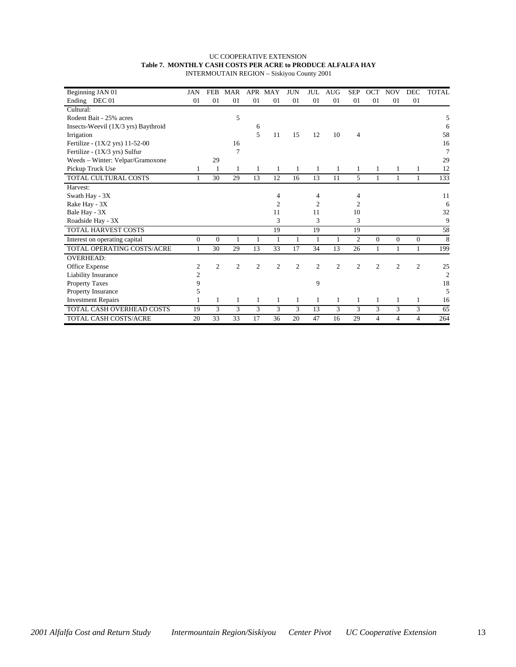#### UC COOPERATIVE EXTENSION **Table 7. MONTHLY CASH COSTS PER ACRE to PRODUCE ALFALFA HAY** INTERMOUTAIN REGION – Siskiyou County 2001

| Beginning JAN 01                    | <b>JAN</b>     | <b>FEB</b>     | <b>MAR</b>     | <b>APR</b>     | MAY            | <b>JUN</b>     | JUL            | <b>AUG</b>     | <b>SEP</b>     | <b>OCT</b>     | <b>NOV</b>     | <b>DEC</b>     | <b>TOTAL</b>   |
|-------------------------------------|----------------|----------------|----------------|----------------|----------------|----------------|----------------|----------------|----------------|----------------|----------------|----------------|----------------|
| Ending DEC 01                       | 01             | 01             | 01             | 01             | 01             | 01             | 01             | 01             | 01             | 01             | 01             | 01             |                |
| Cultural:                           |                |                |                |                |                |                |                |                |                |                |                |                |                |
| Rodent Bait - 25% acres             |                |                | 5              |                |                |                |                |                |                |                |                |                | 5              |
| Insects-Weevil (1X/3 yrs) Baythroid |                |                |                | 6              |                |                |                |                |                |                |                |                | 6              |
| Irrigation                          |                |                |                | 5              | 11             | 15             | 12             | 10             | 4              |                |                |                | 58             |
| Fertilize - (1X/2 yrs) 11-52-00     |                |                | 16             |                |                |                |                |                |                |                |                |                | 16             |
| Fertilize - (1X/3 yrs) Sulfur       |                |                | 7              |                |                |                |                |                |                |                |                |                | 7              |
| Weeds - Winter: Velpar/Gramoxone    |                | 29             |                |                |                |                |                |                |                |                |                |                | 29             |
| Pickup Truck Use                    | 1              | 1              | 1              | 1              | 1              | 1              | 1              | 1              | 1              | 1              | 1              | 1              | 12             |
| TOTAL CULTURAL COSTS                |                | 30             | 29             | 13             | 12             | 16             | 13             | 11             | 5              | 1              | 1              | 1              | 133            |
| Harvest:                            |                |                |                |                |                |                |                |                |                |                |                |                |                |
| Swath Hay - 3X                      |                |                |                |                | 4              |                | 4              |                | 4              |                |                |                | 11             |
| Rake Hay - 3X                       |                |                |                |                | 2              |                | 2              |                | 2              |                |                |                | 6              |
| Bale Hay - 3X                       |                |                |                |                | 11             |                | 11             |                | 10             |                |                |                | 32             |
| Roadside Hay - 3X                   |                |                |                |                | 3              |                | 3              |                | 3              |                |                |                | 9              |
| <b>TOTAL HARVEST COSTS</b>          |                |                |                |                | 19             |                | 19             |                | 19             |                |                |                | 58             |
| Interest on operating capital       | $\mathbf{0}$   | $\Omega$       | 1              |                | 1              | 1              | 1              | 1              | 2              | $\Omega$       | $\Omega$       | $\Omega$       | 8              |
| TOTAL OPERATING COSTS/ACRE          | 1              | 30             | 29             | 13             | 33             | 17             | 34             | 13             | 26             | 1              | $\mathbf{1}$   | 1              | 199            |
| <b>OVERHEAD:</b>                    |                |                |                |                |                |                |                |                |                |                |                |                |                |
| Office Expense                      | 2              | $\overline{2}$ | $\overline{2}$ | $\overline{2}$ | $\overline{c}$ | $\overline{c}$ | $\overline{c}$ | $\overline{c}$ | $\overline{2}$ | $\overline{2}$ | $\overline{2}$ | $\mathfrak{2}$ | 25             |
| Liability Insurance                 | $\overline{c}$ |                |                |                |                |                |                |                |                |                |                |                | $\overline{2}$ |
| <b>Property Taxes</b>               | 9              |                |                |                |                |                | 9              |                |                |                |                |                | 18             |
| Property Insurance                  | 5              |                |                |                |                |                |                |                |                |                |                |                | 5              |
| <b>Investment Repairs</b>           |                | 1              | 1              | 1              | 1              | 1              | 1              | 1              | 1              | 1              | 1              | 1              | 16             |
| TOTAL CASH OVERHEAD COSTS           | 19             | 3              | 3              | 3              | 3              | 3              | 13             | 3              | 3              | 3              | 3              | 3              | 65             |
| <b>TOTAL CASH COSTS/ACRE</b>        | 20             | 33             | 33             | 17             | 36             | 20             | 47             | 16             | 29             | 4              | $\overline{4}$ | 4              | 264            |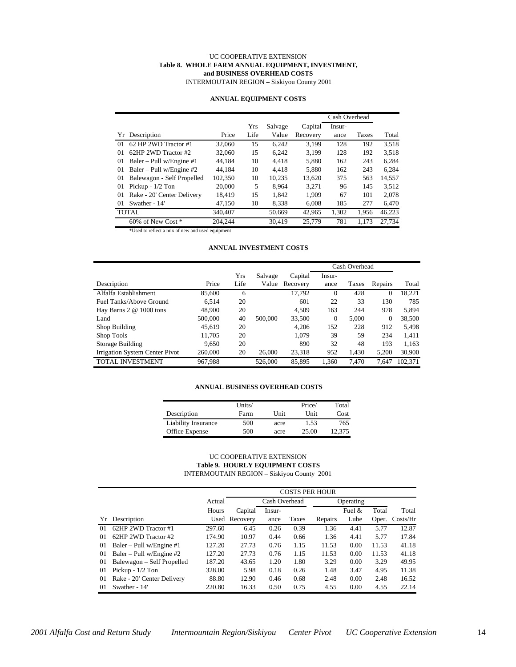#### UC COOPERATIVE EXTENSION **Table 8. WHOLE FARM ANNUAL EQUIPMENT, INVESTMENT, and BUSINESS OVERHEAD COSTS**

INTERMOUTAIN REGION – Siskiyou County 2001

#### **ANNUAL EQUIPMENT COSTS**

|                                  |         |      |         |          | Cash Overhead |       |        |
|----------------------------------|---------|------|---------|----------|---------------|-------|--------|
|                                  |         | Yrs  | Salvage | Capital  | Insur-        |       |        |
| Yr Description                   | Price   | Life | Value   | Recovery | ance          | Taxes | Total  |
| 62 HP 2WD Tractor #1<br>$_{01}$  | 32,060  | 15   | 6.242   | 3.199    | 128           | 192   | 3.518  |
| 62HP 2WD Tractor #2<br>01        | 32,060  | 15   | 6.242   | 3.199    | 128           | 192   | 3,518  |
| Baler – Pull w/Engine #1<br>01   | 44.184  | 10   | 4.418   | 5.880    | 162           | 243   | 6,284  |
| Baler – Pull w/Engine $#2$<br>01 | 44.184  | 10   | 4.418   | 5.880    | 162           | 243   | 6.284  |
| Balewagon - Self Propelled<br>01 | 102,350 | 10   | 10.235  | 13.620   | 375           | 563   | 14,557 |
| Pickup - $1/2$ Ton<br>01         | 20,000  | 5    | 8.964   | 3.271    | 96            | 145   | 3.512  |
| 01<br>Rake - 20' Center Delivery | 18.419  | 15   | 1.842   | 1.909    | 67            | 101   | 2.078  |
| Swather - 14'<br>$\Omega$        | 47.150  | 10   | 8,338   | 6.008    | 185           | 277   | 6,470  |
| <b>TOTAL</b>                     | 340,407 |      | 50.669  | 42.965   | 1,302         | 1,956 | 46,223 |
| 60% of New Cost *                | 204.244 |      | 30.419  | 25,779   | 781           | 1.173 | 27.734 |

\*Used to reflect a mix of new and used equipment

#### **ANNUAL INVESTMENT COSTS**

|                                |         |      |         |          |          | Cash Overhead |              |         |
|--------------------------------|---------|------|---------|----------|----------|---------------|--------------|---------|
|                                |         | Yrs  | Salvage | Capital  | Insur-   |               |              |         |
| Description                    | Price   | Life | Value   | Recovery | ance     | Taxes         | Repairs      | Total   |
| Alfalfa Establishment          | 85,600  | 6    |         | 17.792   | $\Omega$ | 428           | $\theta$     | 18,221  |
| Fuel Tanks/Above Ground        | 6.514   | 20   |         | 601      | 22       | 33            | 130          | 785     |
| Hay Barns $2 \& 1000$ tons     | 48,900  | 20   |         | 4.509    | 163      | 244           | 978          | 5,894   |
| Land                           | 500,000 | 40   | 500,000 | 33,500   | $\Omega$ | 5.000         | $\mathbf{0}$ | 38,500  |
| Shop Building                  | 45.619  | 20   |         | 4.206    | 152      | 228           | 912          | 5,498   |
| Shop Tools                     | 11,705  | 20   |         | 1.079    | 39       | 59            | 234          | 1,411   |
| Storage Building               | 9.650   | 20   |         | 890      | 32       | 48            | 193          | 1,163   |
| Irrigation System Center Pivot | 260,000 | 20   | 26,000  | 23,318   | 952      | 1,430         | 5,200        | 30,900  |
| <b>TOTAL INVESTMENT</b>        | 967,988 |      | 526,000 | 85.895   | 1.360    | 7.470         | 7.647        | 102.371 |

#### **ANNUAL BUSINESS OVERHEAD COSTS**

|                            | Units/ |      | Price/      | Total  |
|----------------------------|--------|------|-------------|--------|
| Description                | Farm   | Unit | <b>Unit</b> | Cost   |
| <b>Liability Insurance</b> | 500    | acre | 1.53        | 765    |
| Office Expense             | 500    | acre | 25.00       | 12.375 |

#### UC COOPERATIVE EXTENSION **Table 9. HOURLY EQUIPMENT COSTS** INTERMOUTAIN REGION – Siskiyou County 2001

|          |                            |        | COSTS PER HOUR |        |       |           |           |       |                    |
|----------|----------------------------|--------|----------------|--------|-------|-----------|-----------|-------|--------------------|
|          |                            | Actual | Cash Overhead  |        |       | Operating |           |       |                    |
|          |                            | Hours  | Capital        | Insur- |       |           | Fuel $\&$ | Total | Total              |
| Yr       | Description                |        | Used Recovery  | ance   | Taxes | Repairs   | Lube      | Oper. | $\frac{Costs}{Hr}$ |
| $\Omega$ | 62HP 2WD Tractor #1        | 297.60 | 6.45           | 0.26   | 0.39  | 1.36      | 4.41      | 5.77  | 12.87              |
| $\Omega$ | 62HP 2WD Tractor #2        | 174.90 | 10.97          | 0.44   | 0.66  | 1.36      | 4.41      | 5.77  | 17.84              |
| 01       | Baler – Pull w/Engine #1   | 127.20 | 27.73          | 0.76   | 1.15  | 11.53     | 0.00      | 11.53 | 41.18              |
| 01       | Baler – Pull w/Engine $#2$ | 127.20 | 27.73          | 0.76   | 1.15  | 11.53     | 0.00      | 11.53 | 41.18              |
| 01       | Balewagon – Self Propelled | 187.20 | 43.65          | 1.20   | 1.80  | 3.29      | 0.00      | 3.29  | 49.95              |
| 01       | Pickup - $1/2$ Ton         | 328.00 | 5.98           | 0.18   | 0.26  | 1.48      | 3.47      | 4.95  | 11.38              |
| 01       | Rake - 20' Center Delivery | 88.80  | 12.90          | 0.46   | 0.68  | 2.48      | 0.00      | 2.48  | 16.52              |
| $\Omega$ | Swather - 14'              | 220.80 | 16.33          | 0.50   | 0.75  | 4.55      | 0.00      | 4.55  | 22.14              |

*2001 Alfalfa Cost and Return Study Intermountain Region/Siskiyou Center Pivot UC Cooperative Extension* 14